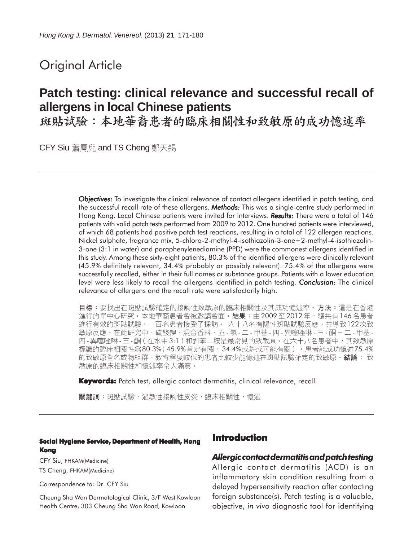# Original Article

# **Patch testing: clinical relevance and successful recall of allergens in local Chinese patients**

斑貼試驗:本地華裔患者的臨床相關性和致敏原的成功憶述率

CFY Siu 蕭鳳兒 and TS Cheng 鄭天錫

*Objectives: Objectives:* To investigate the clinical relevance of contact allergens identified in patch testing, and the successful recall rate of these allergens. *Methods:* This was a single-centre study performed in Hong Kong. Local Chinese patients were invited for interviews. **Results:** There were a total of 146 patients with valid patch tests performed from 2009 to 2012. One hundred patients were interviewed, of which 68 patients had positive patch test reactions, resulting in a total of 122 allergen reactions. Nickel sulphate, fragrance mix, 5-chloro-2-methyl-4-isothiazolin-3-one+2-methyl-4-isothiazolin-3-one (3:1 in water) and paraphenylenediamine (PPD) were the commonest allergens identified in this study. Among these sixty-eight patients, 80.3% of the identified allergens were clinically relevant (45.9% definitely relevant, 34.4% probably or possibly relevant). 75.4% of the allergens were successfully recalled, either in their full names or substance groups. Patients with a lower education level were less likely to recall the allergens identified in patch testing. *Conclusion: Conclusion:* The clinical relevance of allergens and the recall rate were satisfactorily high.

目標:要找出在斑貼試驗確定的接觸性致敏原的臨床相關性及其成功憶述率。方法:這是在香港 進行的單中心研究。本地華裔患者會被邀請會面。結果:由2009至2012年,總共有146名患者 進行有效的斑貼試驗。一百名患者接受了採訪。 六十八名有陽性斑貼試驗反應,共導致122次致 敏原反應。在此研究中,硫酸鎳,混合香料,五-氯-二-甲基-四-異噻唑啉-三-酮 + 二-甲基-四-異噻唑啉-三-酮(在水中3:1)和對苯二胺是最常見的致敏原。在六十八名患者中,其致敏原 標識的臨床相關性爲80.3% (45.9%肯定有關, 34.4%或許或可能有關)。患者能成功憶述75.4% 的致敏原全名或物組群。敎育程度較低的患者比較少能憶述在斑貼試驗確定的致敏原。結論: 致 敏原的臨床相關性和憶沭率令人滿意。

**Keywords:** Patch test, allergic contact dermatitis, clinical relevance, recall

關鍵詞:斑貼試驗,過敏性接觸性皮炎,臨床相關性,憶述

#### **Social Hygiene Service, Department of Health, Hong Kong**

CFY Siu, FHKAM(Medicine) TS Cheng, FHKAM(Medicine)

Correspondence to: Dr. CFY Siu

Cheung Sha Wan Dermatological Clinic, 3/F West Kowloon Health Centre, 303 Cheung Sha Wan Road, Kowloon

# **Introduction**

#### *Allergic contact dermatitis and patch testing*

Allergic contact dermatitis (ACD) is an inflammatory skin condition resulting from a delayed hypersensitivity reaction after contacting foreign substance(s). Patch testing is a valuable, objective, *in vivo* diagnostic tool for identifying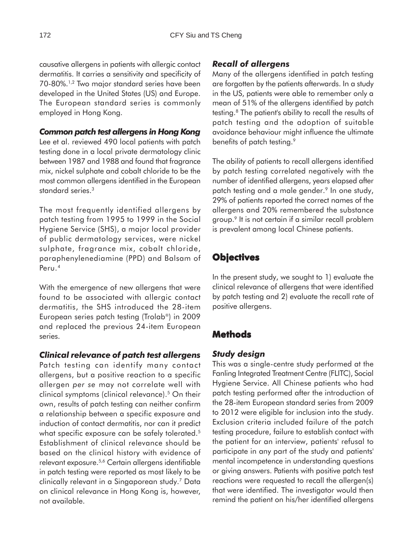causative allergens in patients with allergic contact dermatitis. It carries a sensitivity and specificity of 70-80%.1,2 Two major standard series have been developed in the United States (US) and Europe. The European standard series is commonly employed in Hong Kong.

#### *Common patch test allergens in Hong Kong*

Lee et al. reviewed 490 local patients with patch testing done in a local private dermatology clinic between 1987 and 1988 and found that fragrance mix, nickel sulphate and cobalt chloride to be the most common allergens identified in the European standard series.<sup>3</sup>

The most frequently identified allergens by patch testing from 1995 to 1999 in the Social Hygiene Service (SHS), a major local provider of public dermatology services, were nickel sulphate, fragrance mix, cobalt chloride, paraphenylenediamine (PPD) and Balsam of Peru.4

With the emergence of new allergens that were found to be associated with allergic contact dermatitis, the SHS introduced the 28-item European series patch testing (Trolab®) in 2009 and replaced the previous 24-item European series.

#### *Clinical relevance of patch test allergens*

Patch testing can identify many contact allergens, but a positive reaction to a specific allergen *per se* may not correlate well with clinical symptoms (clinical relevance).<sup>5</sup> On their own, results of patch testing can neither confirm a relationship between a specific exposure and induction of contact dermatitis, nor can it predict what specific exposure can be safely tolerated.<sup>5</sup> Establishment of clinical relevance should be based on the clinical history with evidence of relevant exposure.5,6 Certain allergens identifiable in patch testing were reported as most likely to be clinically relevant in a Singaporean study.7 Data on clinical relevance in Hong Kong is, however, not available.

## *Recall of allergens*

Many of the allergens identified in patch testing are forgotten by the patients afterwards. In a study in the US, patients were able to remember only a mean of 51% of the allergens identified by patch testing.8 The patient's ability to recall the results of patch testing and the adoption of suitable avoidance behaviour might influence the ultimate benefits of patch testing.<sup>9</sup>

The ability of patients to recall allergens identified by patch testing correlated negatively with the number of identified allergens, years elapsed after patch testing and a male gender.<sup>9</sup> In one study, 29% of patients reported the correct names of the allergens and 20% remembered the substance group.9 It is not certain if a similar recall problem is prevalent among local Chinese patients.

# **Objectives**

In the present study, we sought to 1) evaluate the clinical relevance of allergens that were identified by patch testing and 2) evaluate the recall rate of positive allergens.

# **Methods**

## *Study design*

This was a single-centre study performed at the Fanling Integrated Treatment Centre (FLITC), Social Hygiene Service. All Chinese patients who had patch testing performed after the introduction of the 28-item European standard series from 2009 to 2012 were eligible for inclusion into the study. Exclusion criteria included failure of the patch testing procedure, failure to establish contact with the patient for an interview, patients' refusal to participate in any part of the study and patients' mental incompetence in understanding questions or giving answers. Patients with positive patch test reactions were requested to recall the allergen(s) that were identified. The investigator would then remind the patient on his/her identified allergens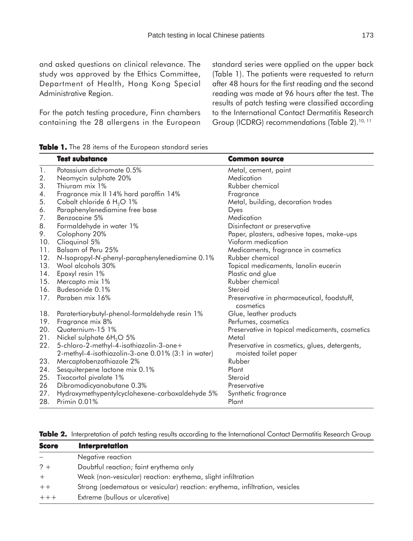For the patch testing procedure, Finn chambers containing the 28 allergens in the European standard series were applied on the upper back (Table 1). The patients were requested to return after 48 hours for the first reading and the second reading was made at 96 hours after the test. The results of patch testing were classified according to the International Contact Dermatitis Research Group (ICDRG) recommendations (Table 2).<sup>10, 11</sup>

|     | <b>Test substance</b>                                                                         | <b>Common source</b>                                                  |
|-----|-----------------------------------------------------------------------------------------------|-----------------------------------------------------------------------|
| 1.  | Potassium dichromate 0.5%                                                                     | Metal, cement, paint                                                  |
| 2.  | Neomycin sulphate 20%                                                                         | Medication                                                            |
| 3.  | Thiuram mix 1%                                                                                | Rubber chemical                                                       |
| 4.  | Fragrance mix II 14% hard paraffin 14%                                                        | Fragrance                                                             |
| 5.  | Cobalt chloride 6 $H_2O$ 1%                                                                   | Metal, building, decoration trades                                    |
| 6.  | Paraphenylenediamine free base                                                                | Dyes                                                                  |
| 7.  | Benzocaine 5%                                                                                 | Medication                                                            |
| 8.  | Formaldehyde in water 1%                                                                      | Disinfectant or preservative                                          |
| 9.  | Colophony 20%                                                                                 | Paper, plasters, adhesive tapes, make-ups                             |
| 10. | Clioquinol 5%                                                                                 | Vioform medication                                                    |
| 11. | Balsam of Peru 25%                                                                            | Medicaments, fragrance in cosmetics                                   |
| 12. | N-Isopropyl-N-phenyl-paraphenylenediamine 0.1%                                                | Rubber chemical                                                       |
| 13. | Wool alcohols 30%                                                                             | Topical medicaments, lanolin eucerin                                  |
| 14. | Epoxyl resin 1%                                                                               | Plastic and glue                                                      |
| 15. | Mercapto mix 1%                                                                               | Rubber chemical                                                       |
| 16. | Budesonide 0.1%                                                                               | Steroid                                                               |
| 17. | Paraben mix 16%                                                                               | Preservative in pharmaceutical, foodstuff,<br>cosmetics               |
| 18. | Paratertiarybutyl-phenol-formaldehyde resin 1%                                                | Glue, leather products                                                |
| 19. | Fragrance mix 8%                                                                              | Perfumes, cosmetics                                                   |
| 20. | Quaternium-15 1%                                                                              | Preservative in topical medicaments, cosmetics                        |
| 21. | Nickel sulphate 6H <sub>2</sub> O 5%                                                          | Metal                                                                 |
| 22. | 5-chloro-2-methyl-4-isothiazolin-3-one+<br>2-methyl-4-isothiazolin-3-one 0.01% (3:1 in water) | Preservative in cosmetics, glues, detergents,<br>moisted toilet paper |
| 23. | Mercaptobenzothiazole 2%                                                                      | Rubber                                                                |
| 24. | Sesquiterpene lactone mix 0.1%                                                                | Plant                                                                 |
| 25. | Tixocortol pivalate 1%                                                                        | Steroid                                                               |
| 26  | Dibromodicyanobutane 0.3%                                                                     | Preservative                                                          |
| 27. | Hydroxymethypentylcyclohexene-carboxaldehyde 5%                                               | Synthetic fragrance                                                   |
| 28. | Primin 0.01%                                                                                  | Plant                                                                 |

|  |  |  | Table 2. Interpretation of patch testing results according to the International Contact Dermatitis Research Group |  |  |  |  |  |  |  |
|--|--|--|-------------------------------------------------------------------------------------------------------------------|--|--|--|--|--|--|--|
|--|--|--|-------------------------------------------------------------------------------------------------------------------|--|--|--|--|--|--|--|

| <b>Score</b> | <b>Interpretation</b>                                                       |
|--------------|-----------------------------------------------------------------------------|
|              | Negative reaction                                                           |
| $? +$        | Doubtful reaction; faint erythema only                                      |
| $+$          | Weak (non-vesicular) reaction: erythema, slight infiltration                |
| $++$         | Strong (oedematous or vesicular) reaction: erythema, infiltration, vesicles |
| $+++$        | Extreme (bullous or ulcerative)                                             |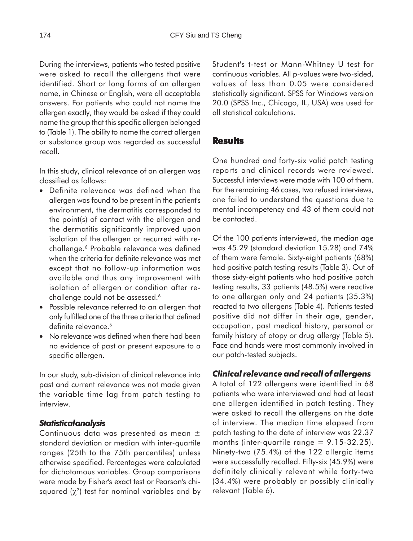During the interviews, patients who tested positive were asked to recall the allergens that were identified. Short or long forms of an allergen name, in Chinese or English, were all acceptable answers. For patients who could not name the allergen exactly, they would be asked if they could name the group that this specific allergen belonged to (Table 1). The ability to name the correct allergen or substance group was regarded as successful recall.

In this study, clinical relevance of an allergen was classified as follows:

- Definite relevance was defined when the allergen was found to be present in the patient's environment, the dermatitis corresponded to the point(s) of contact with the allergen and the dermatitis significantly improved upon isolation of the allergen or recurred with rechallenge.<sup>6</sup> Probable relevance was defined when the criteria for definite relevance was met except that no follow-up information was available and thus any improvement with isolation of allergen or condition after rechallenge could not be assessed.<sup>6</sup>
- Possible relevance referred to an allergen that only fulfilled one of the three criteria that defined definite relevance.<sup>6</sup>
- No relevance was defined when there had been no evidence of past or present exposure to a specific allergen.

In our study, sub-division of clinical relevance into past and current relevance was not made given the variable time lag from patch testing to interview.

#### *Statistical analysis*

Continuous data was presented as mean ± standard deviation or median with inter-quartile ranges (25th to the 75th percentiles) unless otherwise specified. Percentages were calculated for dichotomous variables. Group comparisons were made by Fisher's exact test or Pearson's chisquared  $(\chi^2)$  test for nominal variables and by Student's t-test or Mann-Whitney U test for continuous variables. All p-values were two-sided, values of less than 0.05 were considered statistically significant. SPSS for Windows version 20.0 (SPSS Inc., Chicago, IL, USA) was used for all statistical calculations.

#### **Results**

One hundred and forty-six valid patch testing reports and clinical records were reviewed. Successful interviews were made with 100 of them. For the remaining 46 cases, two refused interviews, one failed to understand the questions due to mental incompetency and 43 of them could not be contacted.

Of the 100 patients interviewed, the median age was 45.29 (standard deviation 15.28) and 74% of them were female. Sixty-eight patients (68%) had positive patch testing results (Table 3). Out of those sixty-eight patients who had positive patch testing results, 33 patients (48.5%) were reactive to one allergen only and 24 patients (35.3%) reacted to two allergens (Table 4). Patients tested positive did not differ in their age, gender, occupation, past medical history, personal or family history of atopy or drug allergy (Table 5). Face and hands were most commonly involved in our patch-tested subjects.

#### *Clinical relevance and recall of allergens*

A total of 122 allergens were identified in 68 patients who were interviewed and had at least one allergen identified in patch testing. They were asked to recall the allergens on the date of interview. The median time elapsed from patch testing to the date of interview was 22.37 months (inter-quartile range  $= 9.15 - 32.25$ ). Ninety-two (75.4%) of the 122 allergic items were successfully recalled. Fifty-six (45.9%) were definitely clinically relevant while forty-two (34.4%) were probably or possibly clinically relevant (Table 6).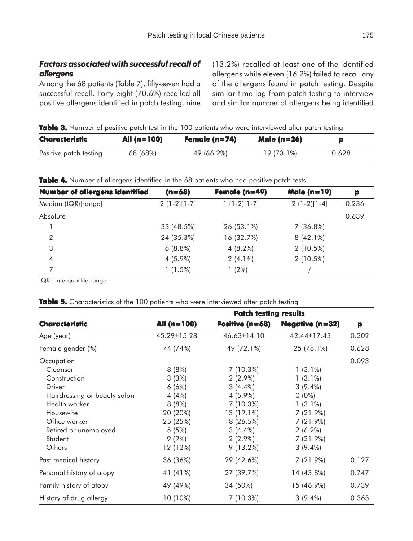## *Factors associated with successful recall of allergens*

Among the 68 patients (Table 7), fifty-seven had a successful recall. Forty-eight (70.6%) recalled all positive allergens identified in patch testing, nine (13.2%) recalled at least one of the identified allergens while eleven (16.2%) failed to recall any of the allergens found in patch testing. Despite similar time lag from patch testing to interview and similar number of allergens being identified

**Table 3.** Number of positive patch test in the 100 patients who were interviewed after patch testing

| Characteristic         | All $(n=100)$ | Female (n=74) | <b>Male (n=26)</b> |       |
|------------------------|---------------|---------------|--------------------|-------|
| Positive patch testing | 68 (68%)      | 49 (66.2%)    | 19 (73.1%)         | 0.628 |

**Table 4.** Number of allergens identified in the 68 patients who had positive patch tests

| <b>Number of allergens identified</b> | $(n=68)$      | Female $(n=49)$ | <b>Male (n=19)</b> | р     |
|---------------------------------------|---------------|-----------------|--------------------|-------|
| Median (IQR)[range]                   | $2(1-2)[1-7]$ | $1(1-2)[1-7]$   | $2(1-2)[1-4]$      | 0.236 |
| Absolute                              |               |                 |                    | 0.639 |
|                                       | 33 (48.5%)    | 26 (53.1%)      | 7(36.8%)           |       |
| $\mathcal{P}$                         | 24 (35.3%)    | 16 (32.7%)      | $8(42.1\%)$        |       |
| 3                                     | $6(8.8\%)$    | $4(8.2\%)$      | $2(10.5\%)$        |       |
| $\overline{4}$                        | 4 (5.9%)      | $2(4.1\%)$      | $2(10.5\%)$        |       |
|                                       | $1(1.5\%)$    | (2%)            |                    |       |

IQR=interquartile range

Table 5. Characteristics of the 100 patients who were interviewed after patch testing

|                              | <b>Patch testing results</b> |                        |                        |       |  |  |  |
|------------------------------|------------------------------|------------------------|------------------------|-------|--|--|--|
| <b>Characteristic</b>        | All (n=100)                  | <b>Positive (n=68)</b> | <b>Negative (n=32)</b> | p     |  |  |  |
| Age (year)                   | 45.29±15.28                  | $46.63 \pm 14.10$      | 42.44±17.43            | 0.202 |  |  |  |
| Female gender (%)            | 74 (74%)                     | 49 (72.1%)             | 25 (78.1%)             | 0.628 |  |  |  |
| Occupation                   |                              |                        |                        | 0.093 |  |  |  |
| Cleanser                     | 8(8%)                        | 7(10.3%)               | $1(3.1\%)$             |       |  |  |  |
| Construction                 | 3(3%)                        | $2(2.9\%)$             | $1(3.1\%)$             |       |  |  |  |
| Driver                       | 6(6%)                        | $3(4.4\%)$             | $3(9.4\%)$             |       |  |  |  |
| Hairdressing or beauty salon | 4(4%)                        | 4 (5.9%)               | $0(0\%)$               |       |  |  |  |
| Health worker                | 8(8%)                        | 7(10.3%)               | $1(3.1\%)$             |       |  |  |  |
| Housewife                    | 20 (20%)                     | 13 (19.1%)             | $7(21.9\%)$            |       |  |  |  |
| Office worker                | 25 (25%)                     | 18 (26.5%)             | $7(21.9\%)$            |       |  |  |  |
| Retired or unemployed        | 5(5%)                        | $3(4.4\%)$             | $2(6.2\%)$             |       |  |  |  |
| Student                      | $9(9\%)$                     | $2(2.9\%)$             | $7(21.9\%)$            |       |  |  |  |
| Others                       | 12 (12%)                     | $9(13.2\%)$            | $3(9.4\%)$             |       |  |  |  |
| Past medical history         | 36 (36%)                     | 29 (42.6%)             | 7(21.9%)               | 0.127 |  |  |  |
| Personal history of atopy    | 41 (41%)                     | 27 (39.7%)             | 14 (43.8%)             | 0.747 |  |  |  |
| Family history of atopy      | 49 (49%)                     | 34 (50%)               | 15 (46.9%)             | 0.739 |  |  |  |
| History of drug allergy      | 10 (10%)                     | 7(10.3%)               | $3(9.4\%)$             | 0.365 |  |  |  |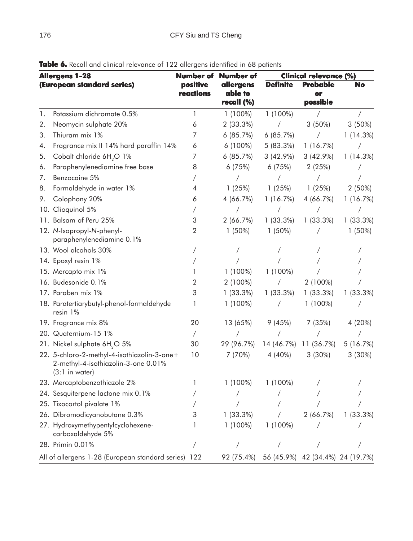| <b>Allergens 1-28</b> |                                                                                                        | Number of             | Number of                          | <b>Clinical relevance (%)</b> |                                   |             |
|-----------------------|--------------------------------------------------------------------------------------------------------|-----------------------|------------------------------------|-------------------------------|-----------------------------------|-------------|
|                       | (European standard series)                                                                             | positive<br>reactions | allergens<br>able to<br>recall (%) | <b>Definite</b>               | <b>Probable</b><br>or<br>possible | No          |
| 1.                    | Potassium dichromate 0.5%                                                                              | 1                     | $1(100\%)$                         | $1(100\%)$                    |                                   |             |
| 2.                    | Neomycin sulphate 20%                                                                                  | 6                     | 2(33.3%)                           | $\sqrt{2}$                    | $3(50\%)$                         | $3(50\%)$   |
| 3.                    | Thiuram mix 1%                                                                                         | 7                     | 6(85.7%)                           | 6(85.7%)                      | $\sqrt{2}$                        | 1(14.3%)    |
| 4.                    | Fragrance mix II 14% hard paraffin 14%                                                                 | 6                     | $6(100\%)$                         | 5(83.3%)                      | 1(16.7%)                          | $\sqrt{2}$  |
| 5.                    | Cobalt chloride 6H <sub>2</sub> O 1%                                                                   | 7                     | 6(85.7%)                           | $3(42.9\%)$                   | $3(42.9\%)$                       | 1(14.3%)    |
| 6.                    | Paraphenylenediamine free base                                                                         | 8                     | 6(75%)                             | 6(75%)                        | 2(25%)                            |             |
| 7.                    | Benzocaine 5%                                                                                          |                       | $\sqrt{2}$                         | $\sqrt{2}$                    | Γ                                 |             |
| 8.                    | Formaldehyde in water 1%                                                                               | 4                     | 1(25%)                             | 1(25%)                        | 1(25%)                            | $2(50\%)$   |
| 9.                    | Colophony 20%                                                                                          | 6                     | 4(66.7%)                           | 1(16.7%)                      | 4 (66.7%)                         | 1(16.7%)    |
|                       | 10. Clioquinol 5%                                                                                      |                       |                                    |                               | $\sqrt{2}$                        | Τ           |
|                       | 11. Balsam of Peru 25%                                                                                 | 3                     | 2(66.7%)                           | $1(33.3\%)$                   | $1(33.3\%)$                       | 1(33.3%)    |
|                       | 12. N-Isopropyl-N-phenyl-<br>paraphenylenediamine 0.1%                                                 | 2                     | $1(50\%)$                          | $1(50\%)$                     | $\sqrt{2}$                        | $1(50\%)$   |
|                       | 13. Wool alcohols 30%                                                                                  |                       |                                    |                               |                                   |             |
|                       | 14. Epoxyl resin 1%                                                                                    |                       |                                    |                               |                                   |             |
|                       | 15. Mercapto mix 1%                                                                                    |                       | $1(100\%)$                         | 1 (100%)                      |                                   |             |
|                       | 16. Budesonide 0.1%                                                                                    | $\overline{2}$        | 2 (100%)                           | $\sqrt{2}$                    | $2(100\%)$                        |             |
|                       | 17. Paraben mix 1%                                                                                     | 3                     | $1(33.3\%)$                        | $1(33.3\%)$                   | 1(33.3%)                          | 1(33.3%)    |
|                       | 18. Paratertiarybutyl-phenol-formaldehyde<br>resin 1%                                                  |                       | $1(100\%)$                         | $\sqrt{2}$                    | $1(100\%)$                        |             |
|                       | 19. Fragrance mix 8%                                                                                   | 20                    | 13 (65%)                           | 9(45%)                        | 7(35%)                            | 4 (20%)     |
|                       | 20. Quaternium-15 1%                                                                                   | $\sqrt{2}$            |                                    |                               |                                   |             |
|                       | 21. Nickel sulphate 6H <sub>2</sub> O 5%                                                               | 30                    | 29 (96.7%)                         |                               | 14 (46.7%) 11 (36.7%)             | 5(16.7%)    |
|                       | 22. 5-chloro-2-methyl-4-isothiazolin-3-one+<br>2-methyl-4-isothiazolin-3-one 0.01%<br>$(3:1$ in water) | 10                    | 7 (70%)                            | 4 (40%)                       | $3(30\%)$                         | $3(30\%)$   |
|                       | 23. Mercaptobenzothiazole 2%                                                                           |                       | $1(100\%)$                         | 1 (100%)                      |                                   |             |
|                       | 24. Sesquiterpene lactone mix 0.1%                                                                     |                       |                                    |                               |                                   |             |
|                       | 25. Tixocortol pivalate 1%                                                                             |                       |                                    |                               |                                   |             |
|                       | 26. Dibromodicyanobutane 0.3%                                                                          |                       | $1(33.3\%)$                        |                               | 2(66.7%)                          | $1(33.3\%)$ |
|                       | 27. Hydroxymethypentylcyclohexene-<br>carboxaldehyde 5%                                                |                       | $1(100\%)$                         | $1(100\%)$                    |                                   |             |
|                       | 28. Primin 0.01%                                                                                       |                       |                                    |                               |                                   |             |
|                       | All of allergens 1-28 (European standard series) 122                                                   |                       | 92 (75.4%)                         |                               | 56 (45.9%) 42 (34.4%) 24 (19.7%)  |             |

Table 6. Recall and clinical relevance of 122 allergens identified in 68 patients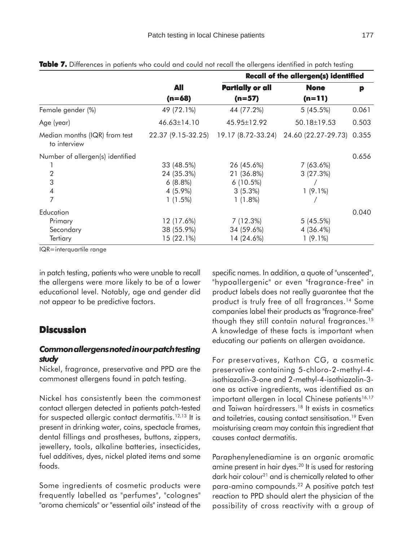|                                               |                    | <b>Recall of the allergen(s) identified</b> |                     |       |  |  |
|-----------------------------------------------|--------------------|---------------------------------------------|---------------------|-------|--|--|
|                                               | All                | <b>Partially or all</b>                     | <b>None</b>         | p     |  |  |
|                                               | $(n=68)$           | $(n=57)$                                    | $(n=11)$            |       |  |  |
| Female gender (%)                             | 49 (72.1%)         | 44 (77.2%)                                  | 5(45.5%)            | 0.061 |  |  |
| Age (year)                                    | $46.63 \pm 14.10$  | 45.95±12.92                                 | 50.18±19.53         | 0.503 |  |  |
| Median months (IQR) from test<br>to interview | 22.37 (9.15-32.25) | 19.17 (8.72-33.24)                          | 24.60 (22.27-29.73) | 0.355 |  |  |
| Number of allergen(s) identified              |                    |                                             |                     | 0.656 |  |  |
|                                               | 33 (48.5%)         | 26 (45.6%)                                  | $7(63.6\%)$         |       |  |  |
| $\overline{2}$                                | 24 (35.3%)         | 21 (36.8%)                                  | 3(27.3%)            |       |  |  |
| 3                                             | $6(8.8\%)$         | $6(10.5\%)$                                 |                     |       |  |  |
| $\overline{4}$                                | 4 (5.9%)           | $3(5.3\%)$                                  | $1(9.1\%)$          |       |  |  |
| 7                                             | $1(1.5\%)$         | $1(1.8\%)$                                  |                     |       |  |  |
| Education                                     |                    |                                             |                     | 0.040 |  |  |
| Primary                                       | 12 (17.6%)         | 7(12.3%)                                    | 5(45.5%)            |       |  |  |
| Secondary                                     | 38 (55.9%)         | 34 (59.6%)                                  | $4(36.4\%)$         |       |  |  |
| Tertiary                                      | 15 (22.1%)         | 14 (24.6%)                                  | $1(9.1\%)$          |       |  |  |

**Table 7.** Differences in patients who could and could not recall the allergens identified in patch testing

IQR=interquartile range

in patch testing, patients who were unable to recall the allergens were more likely to be of a lower educational level. Notably, age and gender did not appear to be predictive factors.

## **Discussion**

## *Common allergens noted in our patch testing study*

Nickel, fragrance, preservative and PPD are the commonest allergens found in patch testing.

Nickel has consistently been the commonest contact allergen detected in patients patch-tested for suspected allergic contact dermatitis.<sup>12,13</sup> It is present in drinking water, coins, spectacle frames, dental fillings and prostheses, buttons, zippers, jewellery, tools, alkaline batteries, insecticides, fuel additives, dyes, nickel plated items and some foods.

Some ingredients of cosmetic products were frequently labelled as "perfumes", "colognes" "aroma chemicals" or "essential oils" instead of the specific names. In addition, a quote of "unscented", "hypoallergenic" or even "fragrance-free" in product labels does not really guarantee that the product is truly free of all fragrances.<sup>14</sup> Some companies label their products as "fragrance-free" though they still contain natural fragrances.<sup>15</sup> A knowledge of these facts is important when educating our patients on allergen avoidance.

For preservatives, Kathon CG, a cosmetic preservative containing 5-chloro-2-methyl-4 isothiazolin-3-one and 2-methyl-4-isothiazolin-3 one as active ingredients, was identified as an important allergen in local Chinese patients<sup>16,17</sup> and Taiwan hairdressers.18 It exists in cosmetics and toiletries, causing contact sensitisation.<sup>19</sup> Even moisturising cream may contain this ingredient that causes contact dermatitis.

Paraphenylenediamine is an organic aromatic amine present in hair dyes.<sup>20</sup> It is used for restoring dark hair colour<sup>21</sup> and is chemically related to other para-amino compounds.22 A positive patch test reaction to PPD should alert the physician of the possibility of cross reactivity with a group of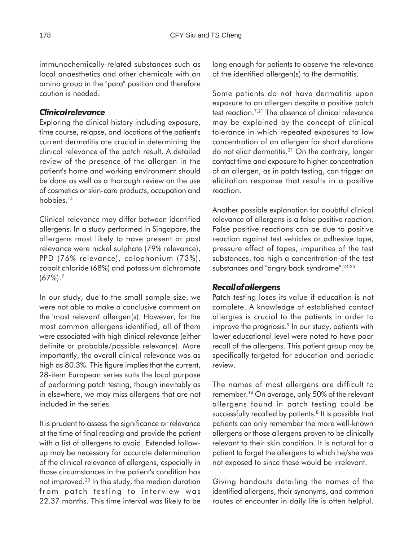immunochemically-related substances such as local anaesthetics and other chemicals with an amino group in the "para" position and therefore caution is needed.

#### *Clinical relevance*

Exploring the clinical history including exposure, time course, relapse, and locations of the patient's current dermatitis are crucial in determining the clinical relevance of the patch result. A detailed review of the presence of the allergen in the patient's home and working environment should be done as well as a thorough review on the use of cosmetics or skin-care products, occupation and hobbies.<sup>14</sup>

Clinical relevance may differ between identified allergens. In a study performed in Singapore, the allergens most likely to have present or past relevance were nickel sulphate (79% relevance), PPD (76% relevance), colophonium (73%), cobalt chloride (68%) and potassium dichromate  $(67\%)$ .<sup>7</sup>

In our study, due to the small sample size, we were not able to make a conclusive comment on the 'most relevant' allergen(s). However, for the most common allergens identified, all of them were associated with high clinical relevance (either definite or probable/possible relevance). More importantly, the overall clinical relevance was as high as 80.3%. This figure implies that the current, 28-item European series suits the local purpose of performing patch testing, though inevitably as in elsewhere, we may miss allergens that are not included in the series.

It is prudent to assess the significance or relevance at the time of final reading and provide the patient with a list of allergens to avoid. Extended followup may be necessary for accurate determination of the clinical relevance of allergens, especially in those circumstances in the patient's condition has not improved.23 In this study, the median duration from patch testing to interview was 22.37 months. This time interval was likely to be

long enough for patients to observe the relevance of the identified allergen(s) to the dermatitis.

Some patients do not have dermatitis upon exposure to an allergen despite a positive patch test reaction.7,21 The absence of clinical relevance may be explained by the concept of clinical tolerance in which repeated exposures to low concentration of an allergen for short durations do not elicit dermatitis.21 On the contrary, longer contact time and exposure to higher concentration of an allergen, as in patch testing, can trigger an elicitation response that results in a positive reaction.

Another possible explanation for doubtful clinical relevance of allergens is a false positive reaction. False positive reactions can be due to positive reaction against test vehicles or adhesive tape, pressure effect of tapes, impurities of the test substances, too high a concentration of the test substances and "angry back syndrome".<sup>24,25</sup>

#### *Recall of allergens*

Patch testing loses its value if education is not complete. A knowledge of established contact allergies is crucial to the patients in order to improve the prognosis.<sup>9</sup> In our study, patients with lower educational level were noted to have poor recall of the allergens. This patient group may be specifically targeted for education and periodic review.

The names of most allergens are difficult to remember.14 On average, only 50% of the relevant allergens found in patch testing could be successfully recalled by patients.<sup>8</sup> It is possible that patients can only remember the more well-known allergens or those allergens proven to be clinically relevant to their skin condition. It is natural for a patient to forget the allergens to which he/she was not exposed to since these would be irrelevant.

Giving handouts detailing the names of the identified allergens, their synonyms, and common routes of encounter in daily life is often helpful.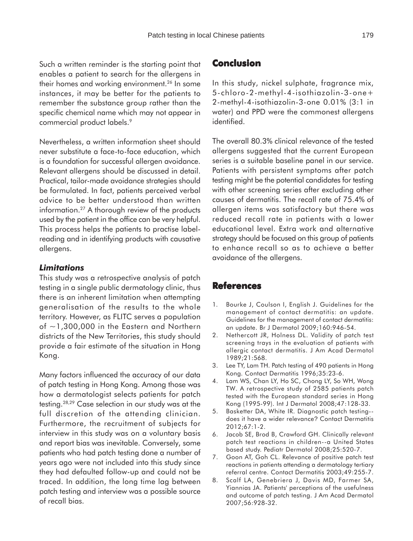Such a written reminder is the starting point that enables a patient to search for the allergens in their homes and working environment.<sup>26</sup> In some instances, it may be better for the patients to remember the substance group rather than the specific chemical name which may not appear in commercial product labels.<sup>9</sup>

Nevertheless, a written information sheet should never substitute a face-to-face education, which is a foundation for successful allergen avoidance. Relevant allergens should be discussed in detail. Practical, tailor-made avoidance strategies should be formulated. In fact, patients perceived verbal advice to be better understood than written information.27 A thorough review of the products used by the patient in the office can be very helpful. This process helps the patients to practise labelreading and in identifying products with causative allergens.

## *Limitations*

This study was a retrospective analysis of patch testing in a single public dermatology clinic, thus there is an inherent limitation when attempting generalisation of the results to the whole territory. However, as FLITC serves a population of  $\sim$ 1,300,000 in the Eastern and Northern districts of the New Territories, this study should provide a fair estimate of the situation in Hong Kong.

Many factors influenced the accuracy of our data of patch testing in Hong Kong. Among those was how a dermatologist selects patients for patch testing.28,29 Case selection in our study was at the full discretion of the attending clinician. Furthermore, the recruitment of subjects for interview in this study was on a voluntary basis and report bias was inevitable. Conversely, some patients who had patch testing done a number of years ago were not included into this study since they had defaulted follow-up and could not be traced. In addition, the long time lag between patch testing and interview was a possible source of recall bias.

# **Conclusion**

In this study, nickel sulphate, fragrance mix, 5-chloro-2-methyl-4-isothiazolin-3-one+ 2-methyl-4-isothiazolin-3-one 0.01% (3:1 in water) and PPD were the commonest allergens identified.

The overall 80.3% clinical relevance of the tested allergens suggested that the current European series is a suitable baseline panel in our service. Patients with persistent symptoms after patch testing might be the potential candidates for testing with other screening series after excluding other causes of dermatitis. The recall rate of 75.4% of allergen items was satisfactory but there was reduced recall rate in patients with a lower educational level. Extra work and alternative strategy should be focused on this group of patients to enhance recall so as to achieve a better avoidance of the allergens.

# **References**

- 1. Bourke J, Coulson I, English J. Guidelines for the management of contact dermatitis: an update. Guidelines for the management of contact dermatitis: an update. Br J Dermatol 2009;160:946-54.
- 2. Nethercott JR, Holness DL. Validity of patch test screening trays in the evaluation of patients with allergic contact dermatitis. J Am Acad Dermatol 1989;21:568.
- 3. Lee TY, Lam TH. Patch testing of 490 patients in Hong Kong. Contact Dermatitis 1996;35:23-6.
- 4. Lam WS, Chan LY, Ho SC, Chong LY, So WH, Wong TW. A retrospective study of 2585 patients patch tested with the European standard series in Hong Kong (1995-99). Int J Dermatol 2008;47:128-33.
- 5. Basketter DA, White IR. Diagnostic patch testing- does it have a wider relevance? Contact Dermatitis 2012;67:1-2.
- 6. Jacob SE, Brod B, Crawford GH. Clinically relevant patch test reactions in children--a United States based study. Pediatr Dermatol 2008;25:520-7.
- 7. Goon AT, Goh CL. Relevance of positive patch test reactions in patients attending a dermatology tertiary referral centre. Contact Dermatitis 2003;49:255-7.
- 8. Scalf LA, Genebriera J, Davis MD, Farmer SA, Yiannias JA. Patients' perceptions of the usefulness and outcome of patch testing. J Am Acad Dermatol 2007;56:928-32.